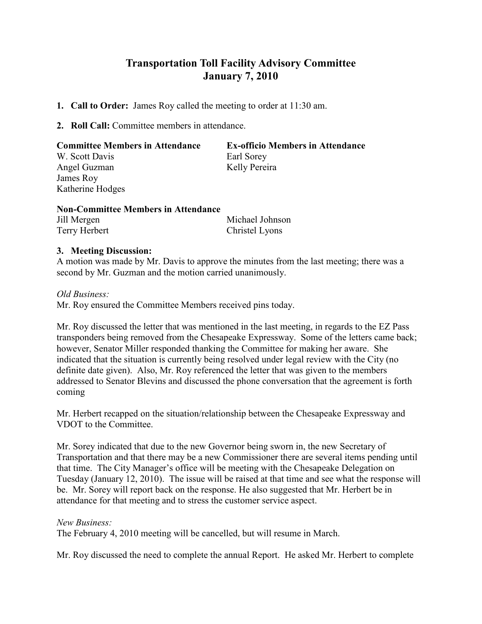## Transportation Toll Facility Advisory Committee January 7, 2010

- 1. Call to Order: James Roy called the meeting to order at 11:30 am.
- 2. Roll Call: Committee members in attendance.

| <b>Committee Members in Attendance</b> | <b>Ex-officio Members in Attendance</b> |
|----------------------------------------|-----------------------------------------|
| W. Scott Davis                         | Earl Sorey                              |
| Angel Guzman                           | Kelly Pereira                           |
| James Roy                              |                                         |
| Katherine Hodges                       |                                         |
| Non Committee Mambors in Attendance    |                                         |

| <b>NON-COMMUTE MEMBERS IN AUCHUANCE</b> |                 |
|-----------------------------------------|-----------------|
| Jill Mergen                             | Michael Johnson |
| Terry Herbert                           | Christel Lyons  |

## 3. Meeting Discussion:

A motion was made by Mr. Davis to approve the minutes from the last meeting; there was a second by Mr. Guzman and the motion carried unanimously.

Old Business:

Mr. Roy ensured the Committee Members received pins today.

Mr. Roy discussed the letter that was mentioned in the last meeting, in regards to the EZ Pass transponders being removed from the Chesapeake Expressway. Some of the letters came back; however, Senator Miller responded thanking the Committee for making her aware. She indicated that the situation is currently being resolved under legal review with the City (no definite date given). Also, Mr. Roy referenced the letter that was given to the members addressed to Senator Blevins and discussed the phone conversation that the agreement is forth coming

Mr. Herbert recapped on the situation/relationship between the Chesapeake Expressway and VDOT to the Committee.

Mr. Sorey indicated that due to the new Governor being sworn in, the new Secretary of Transportation and that there may be a new Commissioner there are several items pending until that time. The City Manager's office will be meeting with the Chesapeake Delegation on Tuesday (January 12, 2010). The issue will be raised at that time and see what the response will be. Mr. Sorey will report back on the response. He also suggested that Mr. Herbert be in attendance for that meeting and to stress the customer service aspect.

## New Business:

The February 4, 2010 meeting will be cancelled, but will resume in March.

Mr. Roy discussed the need to complete the annual Report. He asked Mr. Herbert to complete